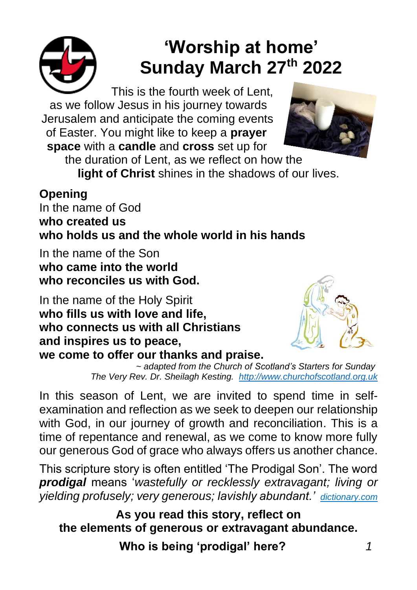

# **'Worship at home' Sunday March 27 th 2022**

This is the fourth week of Lent, as we follow Jesus in his journey towards Jerusalem and anticipate the coming events of Easter. You might like to keep a **prayer space** with a **candle** and **cross** set up for



the duration of Lent, as we reflect on how the **light of Christ** shines in the shadows of our lives.

## **Opening**

In the name of God **who created us who holds us and the whole world in his hands**

In the name of the Son **who came into the world who reconciles us with God.**

In the name of the Holy Spirit **who fills us with love and life, who connects us with all Christians and inspires us to peace, we come to offer our thanks and praise.**



*~ adapted from the Church of Scotland's Starters for Sunday The Very Rev. Dr. Sheilagh Kesting. [http://www.churchofscotland.org.uk](http://www.churchofscotland.org.uk/)*

In this season of Lent, we are invited to spend time in selfexamination and reflection as we seek to deepen our relationship with God, in our journey of growth and reconciliation. This is a time of repentance and renewal, as we come to know more fully our generous God of grace who always offers us another chance.

This scripture story is often entitled 'The Prodigal Son'. The word *prodigal* means '*wastefully or recklessly extravagant; living or yielding profusely; very generous; lavishly abundant.' dictionary.com*

**As you read this story, reflect on the elements of generous or extravagant abundance.** 

**Who is being 'prodigal' here?** *1*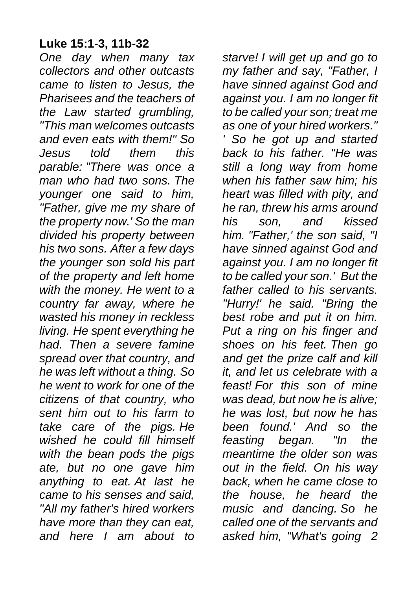#### **Luke 15:1-3, 11b-32**

*One day when many tax collectors and other outcasts came to listen to Jesus, the Pharisees and the teachers of the Law started grumbling, "This man welcomes outcasts and even eats with them!" So Jesus told them this parable: "There was once a man who had two sons. The younger one said to him, "Father, give me my share of the property now.' So the man divided his property between his two sons. After a few days the younger son sold his part of the property and left home with the money. He went to a country far away, where he wasted his money in reckless living. He spent everything he had. Then a severe famine spread over that country, and he was left without a thing. So he went to work for one of the citizens of that country, who sent him out to his farm to take care of the pigs. He wished he could fill himself with the bean pods the pigs ate, but no one gave him anything to eat. At last he came to his senses and said, "All my father's hired workers have more than they can eat, and here I am about to* 

*starve! I will get up and go to my father and say, "Father, I have sinned against God and against you. I am no longer fit to be called your son; treat me as one of your hired workers." ' So he got up and started back to his father. "He was still a long way from home when his father saw him; his heart was filled with pity, and he ran, threw his arms around his son, and kissed him. "Father,' the son said, "I have sinned against God and against you. I am no longer fit to be called your son.' But the father called to his servants. "Hurry!' he said. "Bring the best robe and put it on him. Put a ring on his finger and shoes on his feet. Then go and get the prize calf and kill it, and let us celebrate with a feast! For this son of mine was dead, but now he is alive; he was lost, but now he has been found.' And so the feasting began. "In the meantime the older son was out in the field. On his way back, when he came close to the house, he heard the music and dancing. So he called one of the servants and asked him, "What's going 2*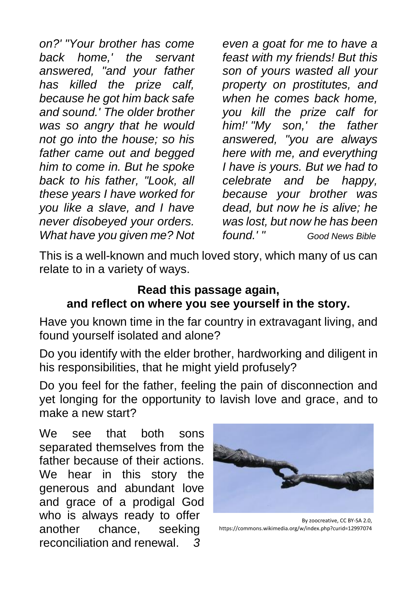*on?' "Your brother has come back home,' the servant answered, "and your father has killed the prize calf, because he got him back safe and sound.' The older brother was so angry that he would not go into the house; so his father came out and begged him to come in. But he spoke back to his father, "Look, all these years I have worked for you like a slave, and I have never disobeyed your orders. What have you given me? Not* 

*even a goat for me to have a feast with my friends! But this son of yours wasted all your property on prostitutes, and when he comes back home, you kill the prize calf for him!' "My son,' the father answered, "you are always here with me, and everything I have is yours. But we had to celebrate and be happy, because your brother was dead, but now he is alive; he was lost, but now he has been found.' " Good News Bible*

This is a well-known and much loved story, which many of us can relate to in a variety of ways.

#### **Read this passage again, and reflect on where you see yourself in the story.**

Have you known time in the far country in extravagant living, and found yourself isolated and alone?

Do you identify with the elder brother, hardworking and diligent in his responsibilities, that he might yield profusely?

Do you feel for the father, feeling the pain of disconnection and yet longing for the opportunity to lavish love and grace, and to make a new start?

We see that both sons separated themselves from the father because of their actions. We hear in this story the generous and abundant love and grace of a prodigal God who is always ready to offer another chance, seeking reconciliation and renewal. *3*



By zoocreative, CC BY-SA 2.0, https://commons.wikimedia.org/w/index.php?curid=12997074